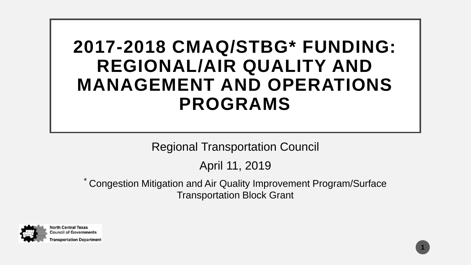## **2017-2018 CMAQ/STBG\* FUNDING: REGIONAL/AIR QUALITY AND MANAGEMENT AND OPERATIONS PROGRAMS**

Regional Transportation Council

April 11, 2019

\* Congestion Mitigation and Air Quality Improvement Program/Surface Transportation Block Grant

**1**

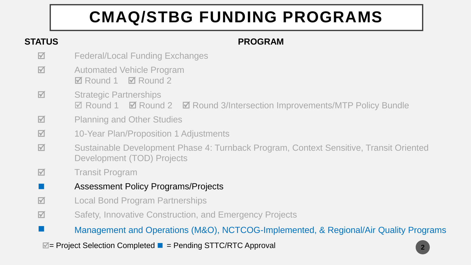## **CMAQ/STBG FUNDING PROGRAMS**

#### **STATUS PROGRAM**

- $\blacksquare$  Federal/Local Funding Exchanges
- **M** Automated Vehicle Program **Ø** Round 1 **Ø** Round 2
- **M** Strategic Partnerships  $\boxtimes$  **Round 1**  $\boxtimes$  Round 2  $\boxtimes$  Round 3/Intersection Improvements/MTP Policy Bundle
- $\blacksquare$  Planning and Other Studies
- 10-Year Plan/Proposition 1 Adjustments
- $\blacksquare$  Sustainable Development Phase 4: Turnback Program, Context Sensitive, Transit Oriented Development (TOD) Projects
- **M** Transit Program
- **Assessment Policy Programs/Projects**
- **M** Local Bond Program Partnerships
- $\blacksquare$  **Safety, Innovative Construction, and Emergency Projects**

■ Management and Operations (M&O), NCTCOG-Implemented, & Regional/Air Quality Programs

 $\blacksquare$  = Project Selection Completed ■ = Pending STTC/RTC Approval

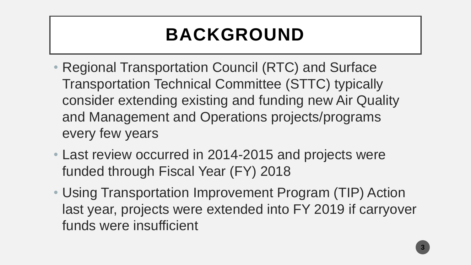# **BACKGROUND**

- Regional Transportation Council (RTC) and Surface Transportation Technical Committee (STTC) typically consider extending existing and funding new Air Quality and Management and Operations projects/programs every few years
- Last review occurred in 2014-2015 and projects were funded through Fiscal Year (FY) 2018
- Using Transportation Improvement Program (TIP) Action last year, projects were extended into FY 2019 if carryover funds were insufficient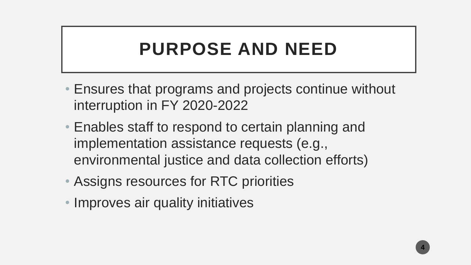## **PURPOSE AND NEED**

- Ensures that programs and projects continue without interruption in FY 2020-2022
- Enables staff to respond to certain planning and implementation assistance requests (e.g., environmental justice and data collection efforts)
- Assigns resources for RTC priorities
- Improves air quality initiatives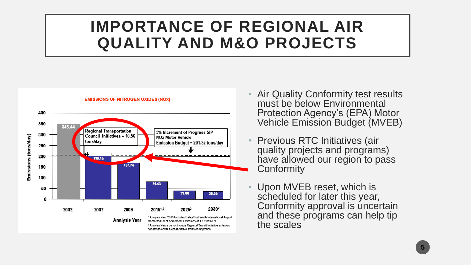## **IMPORTANCE OF REGIONAL AIR QUALITY AND M&O PROJECTS**



#### **EMISSIONS OF NITROGEN OXIDES (NOX)**

- Air Quality Conformity test results must be below Environmental Protection Agency's (EPA) Motor Vehicle Emission Budget (MVEB)
- Previous RTC Initiatives (air quality projects and programs) have allowed our region to pass **Conformity**
- Upon MVEB reset, which is scheduled for later this year, Conformity approval is uncertain and these programs can help tip the scales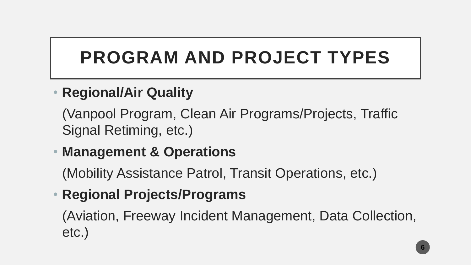# **PROGRAM AND PROJECT TYPES**

### • **Regional/Air Quality**

(Vanpool Program, Clean Air Programs/Projects, Traffic Signal Retiming, etc.)

### • **Management & Operations**

(Mobility Assistance Patrol, Transit Operations, etc.)

## • **Regional Projects/Programs**

(Aviation, Freeway Incident Management, Data Collection, etc.)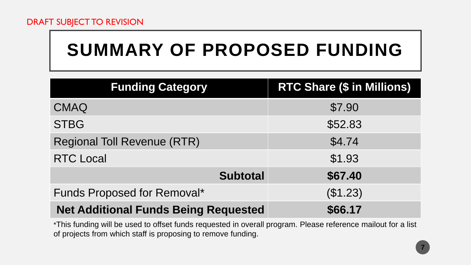#### DRAFT SUBJECT TO REVISION

# **SUMMARY OF PROPOSED FUNDING**

| <b>Funding Category</b>                     | <b>RTC Share (\$ in Millions)</b> |
|---------------------------------------------|-----------------------------------|
| <b>CMAQ</b>                                 | \$7.90                            |
| <b>STBG</b>                                 | \$52.83                           |
| <b>Regional Toll Revenue (RTR)</b>          | \$4.74                            |
| <b>RTC Local</b>                            | \$1.93                            |
| <b>Subtotal</b>                             | \$67.40                           |
| Funds Proposed for Removal*                 | (\$1.23)                          |
| <b>Net Additional Funds Being Requested</b> | \$66.17                           |

\*This funding will be used to offset funds requested in overall program. Please reference mailout for a list of projects from which staff is proposing to remove funding.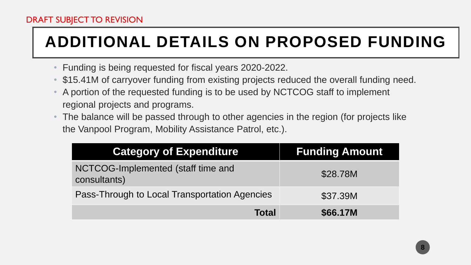## **ADDITIONAL DETAILS ON PROPOSED FUNDING**

- Funding is being requested for fiscal years 2020-2022.
- \$15.41M of carryover funding from existing projects reduced the overall funding need.
- A portion of the requested funding is to be used by NCTCOG staff to implement regional projects and programs.
- The balance will be passed through to other agencies in the region (for projects like the Vanpool Program, Mobility Assistance Patrol, etc.).

| <b>Category of Expenditure</b>                     | <b>Funding Amount</b> |
|----------------------------------------------------|-----------------------|
| NCTCOG-Implemented (staff time and<br>consultants) | \$28.78M              |
| Pass-Through to Local Transportation Agencies      | \$37.39M              |
| Total                                              | \$66.17M              |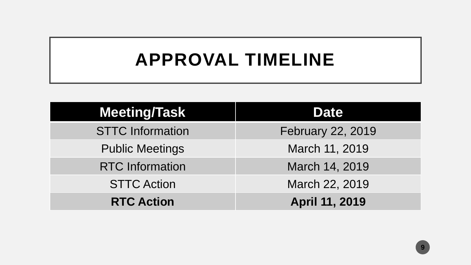## **APPROVAL TIMELINE**

| <b>Meeting/Task</b>     | <b>Date</b>              |
|-------------------------|--------------------------|
| <b>STTC Information</b> | <b>February 22, 2019</b> |
| <b>Public Meetings</b>  | March 11, 2019           |
| <b>RTC</b> Information  | March 14, 2019           |
| <b>STTC Action</b>      | March 22, 2019           |
| <b>RTC Action</b>       | April 11, 2019           |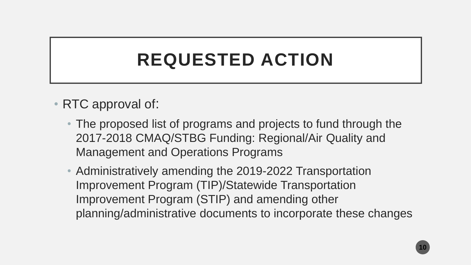## **REQUESTED ACTION**

- RTC approval of:
	- The proposed list of programs and projects to fund through the 2017-2018 CMAQ/STBG Funding: Regional/Air Quality and Management and Operations Programs
	- Administratively amending the 2019-2022 Transportation Improvement Program (TIP)/Statewide Transportation Improvement Program (STIP) and amending other planning/administrative documents to incorporate these changes